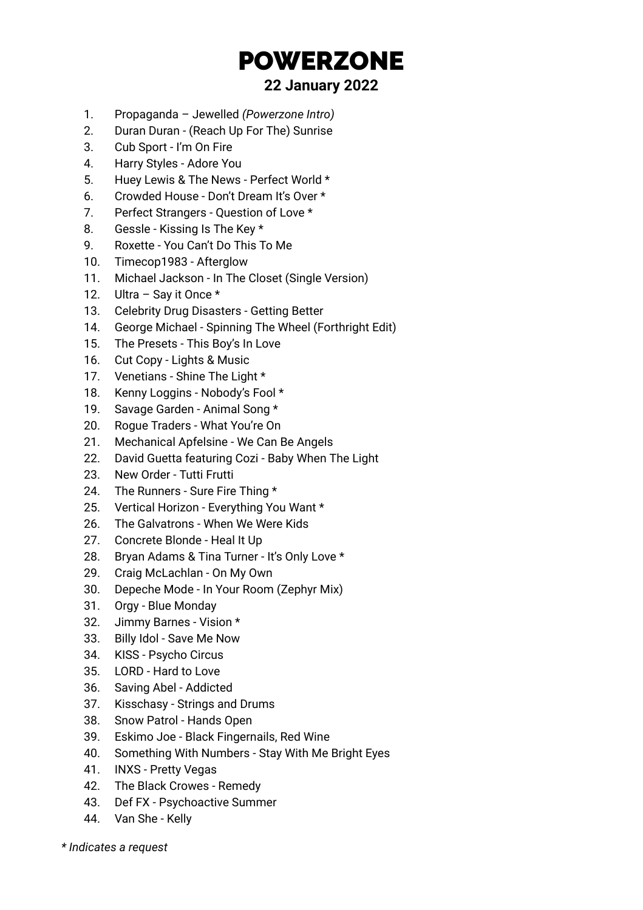## POWERZONE

## **22 January 2022**

- 1. Propaganda Jewelled *(Powerzone Intro)*
- 2. Duran Duran (Reach Up For The) Sunrise
- 3. Cub Sport I'm On Fire
- 4. Harry Styles Adore You
- 5. Huey Lewis & The News Perfect World \*
- 6. Crowded House Don't Dream It's Over \*
- 7. Perfect Strangers Question of Love \*
- 8. Gessle Kissing Is The Key \*
- 9. Roxette You Can't Do This To Me
- 10. Timecop1983 Afterglow
- 11. Michael Jackson In The Closet (Single Version)
- 12. Ultra Say it Once \*
- 13. Celebrity Drug Disasters Getting Better
- 14. George Michael Spinning The Wheel (Forthright Edit)
- 15. The Presets This Boy's In Love
- 16. Cut Copy Lights & Music
- 17. Venetians Shine The Light \*
- 18. Kenny Loggins Nobody's Fool \*
- 19. Savage Garden Animal Song \*
- 20. Rogue Traders What You're On
- 21. Mechanical Apfelsine We Can Be Angels
- 22. David Guetta featuring Cozi Baby When The Light
- 23. New Order Tutti Frutti
- 24. The Runners Sure Fire Thing \*
- 25. Vertical Horizon Everything You Want \*
- 26. The Galvatrons When We Were Kids
- 27. Concrete Blonde Heal It Up
- 28. Bryan Adams & Tina Turner It's Only Love \*
- 29. Craig McLachlan On My Own
- 30. Depeche Mode In Your Room (Zephyr Mix)
- 31. Orgy Blue Monday
- 32. Jimmy Barnes Vision \*
- 33. Billy Idol Save Me Now
- 34. KISS Psycho Circus
- 35. LORD Hard to Love
- 36. Saving Abel Addicted
- 37. Kisschasy Strings and Drums
- 38. Snow Patrol Hands Open
- 39. Eskimo Joe Black Fingernails, Red Wine
- 40. Something With Numbers Stay With Me Bright Eyes
- 41. INXS Pretty Vegas
- 42. The Black Crowes Remedy
- 43. Def FX Psychoactive Summer
- 44. Van She Kelly

*\* Indicates a request*